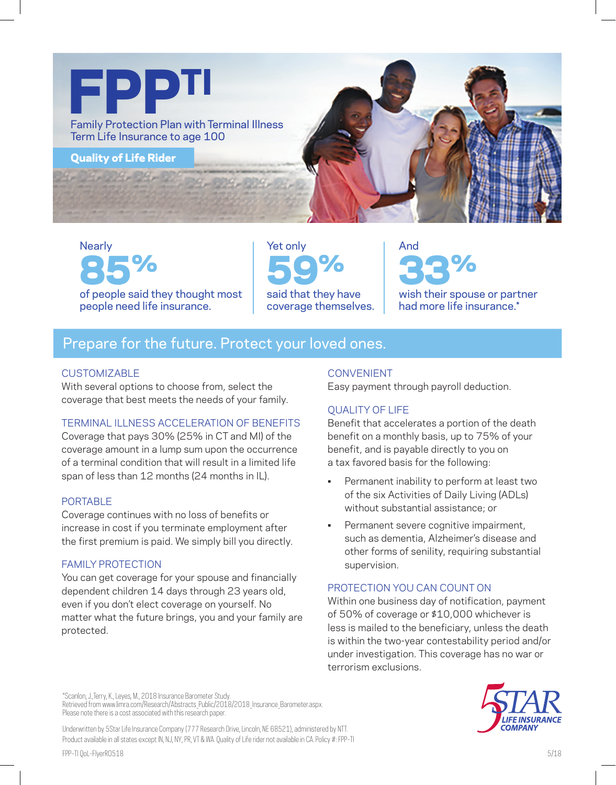

**Nearly** 85% of people said they thought most people need life insurance.

Yet only 59% said that they have coverage themselves.

And 33% wish their spouse or partner had more life insurance.\*

# Prepare for the future. Protect your loved ones.

#### CUSTOMIZABLE

With several options to choose from, select the coverage that best meets the needs of your family.

## TERMINAL ILLNESS ACCELERATION OF BENEFITS

Coverage that pays 30% (25% in CT and MI) of the coverage amount in a lump sum upon the occurrence of a terminal condition that will result in a limited life span of less than 12 months (24 months in IL).

#### PORTABLE

Coverage continues with no loss of benefits or increase in cost if you terminate employment after the first premium is paid. We simply bill you directly.

#### FAMILY PROTECTION

You can get coverage for your spouse and financially dependent children 14 days through 23 years old, even if you don't elect coverage on yourself. No matter what the future brings, you and your family are protected.

#### CONVENIENT

Easy payment through payroll deduction.

## QUALITY OF LIFE

Benefit that accelerates a portion of the death benefit on a monthly basis, up to 75% of your benefit, and is payable directly to you on a tax favored basis for the following:

- Permanent inability to perform at least two of the six Activities of Daily Living (ADLs) without substantial assistance; or
- Permanent severe cognitive impairment, such as dementia, Alzheimer's disease and other forms of senility, requiring substantial supervision.

## PROTECTION YOU CAN COUNT ON

Within one business day of notification, payment of 50% of coverage or \$10,000 whichever is less is mailed to the beneficiary, unless the death is within the two-year contestability period and/or under investigation. This coverage has no war or terrorism exclusions.



Retrieved from www.limra.com/Research/Abstracts\_Public/2018/2018\_Insurance\_Barometer.aspx. Please note there is a cost associated with this research paper.

\*Scanlon, J.,Terry, K., Leyes, M., 2018 Insurance Barometer Study.

Underwritten by 5Star Life Insurance Company (777 Research Drive, Lincoln, NE 68521), administered by NTT. Product available in all states except IN, NJ, NY, PR, VT & WA. Quality of Life rider not available in CA. Policy #: FPP-TI